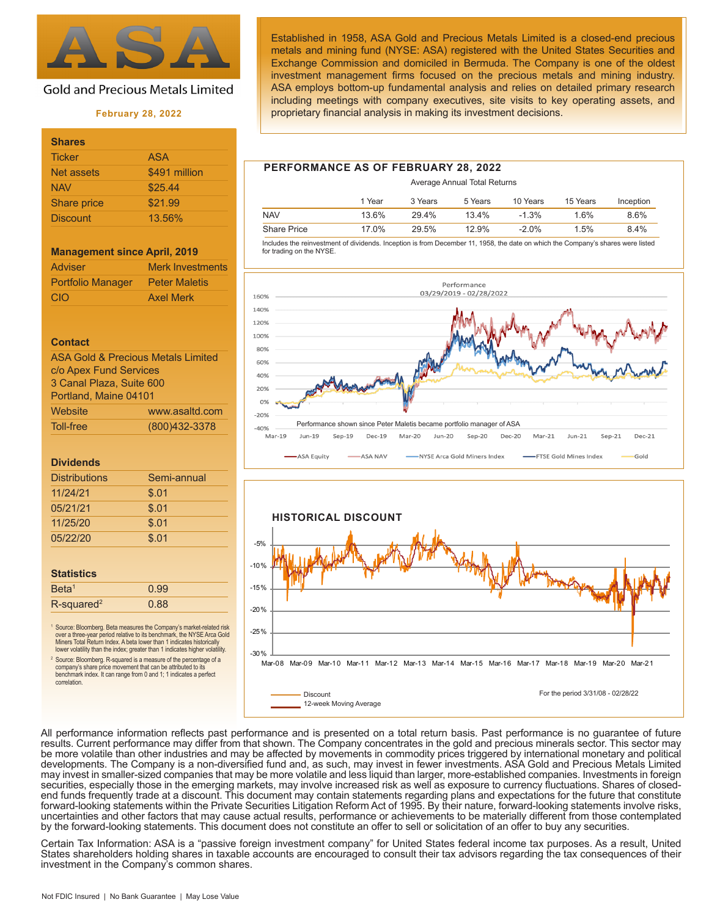

# **Gold and Precious Metals Limited**

#### **February 28, 2022**

| <b>Shares</b>   |               |
|-----------------|---------------|
| <b>Ticker</b>   | <b>ASA</b>    |
| Net assets      | \$491 million |
| <b>NAV</b>      | \$25.44       |
| Share price     | \$21.99       |
| <b>Discount</b> | 13.56%        |

#### **Management since April, 2019**

| <b>Adviser</b>    | <b>Merk Investments</b> |
|-------------------|-------------------------|
| Portfolio Manager | <b>Peter Maletis</b>    |
| CIO               | <b>Axel Merk</b>        |

#### **Contact**

| <b>ASA Gold &amp; Precious Metals Limited</b> |                |  |  |
|-----------------------------------------------|----------------|--|--|
| c/o Apex Fund Services                        |                |  |  |
| 3 Canal Plaza, Suite 600                      |                |  |  |
| Portland. Maine 04101                         |                |  |  |
| Website                                       | www.asaltd.com |  |  |
| Toll-free                                     | (800)432-3378  |  |  |

#### **Dividends**

| <b>Distributions</b> | Semi-annual |
|----------------------|-------------|
| 11/24/21             | \$.01       |
| 05/21/21             | \$.01       |
| 11/25/20             | \$.01       |
| 05/22/20             | \$.01       |
|                      |             |

#### **Statistics**

| Beta <sup>1</sup>         | 0.99 |  |
|---------------------------|------|--|
| $R$ -squared <sup>2</sup> | 0.88 |  |
|                           |      |  |

<sup>1</sup> Source: Bloomberg. Beta measures the Company's market-related risk over a three-year period relative to its benchmark, the NYSE Arca Gold Miners Total Return Index. A beta lower than 1 indicates historically lower volatility than the index; greater than 1 indicates higher volatility.

2 Source: Bloomberg. R-squared is a measure of the percentage of a company's share price movement that can be attributed to its benchmark index. It can range from 0 and 1; 1 indicates a perfect correlation.

Established in 1958, ASA Gold and Precious Metals Limited is a closed-end precious metals and mining fund (NYSE: ASA) registered with the United States Securities and Exchange Commission and domiciled in Bermuda. The Company is one of the oldest investment management firms focused on the precious metals and mining industry. ASA employs bottom-up fundamental analysis and relies on detailed primary research including meetings with company executives, site visits to key operating assets, and proprietary financial analysis in making its investment decisions.

## **PERFORMANCE AS OF FEBRUARY 28, 2022**

|                    |        |         | Average Annual Total Returns |          |          |           |
|--------------------|--------|---------|------------------------------|----------|----------|-----------|
|                    | 1 Year | 3 Years | 5 Years                      | 10 Years | 15 Years | Inception |
| <b>NAV</b>         | 13.6%  | 29.4%   | 13.4%                        | $-1.3%$  | 1.6%     | 8.6%      |
| <b>Share Price</b> | 17.0%  | 29.5%   | 12.9%                        | $-2.0\%$ | 1.5%     | 8.4%      |

 Includes the reinvestment of dividends. Inception is from December 11, 1958, the date on which the Company's shares were listed for trading on the NYSE.





All performance information reflects past performance and is presented on a total return basis. Past performance is no guarantee of future results. Current performance may differ from that shown. The Company concentrates in the gold and precious minerals sector. This sector may be more volatile than other industries and may be affected by movements in commodity prices triggered by international monetary and political developments. The Company is a non-diversified fund and, as such, may invest in fewer investments. ASA Gold and Precious Metals Limited may invest in smaller-sized companies that may be more volatile and less liquid than larger, more-established companies. Investments in foreign securities, especially those in the emerging markets, may involve increased risk as well as exposure to currency fluctuations. Shares of closedend funds frequently trade at a discount. This document may contain statements regarding plans and expectations for the future that constitute forward-looking statements within the Private Securities Litigation Reform Act of 1995. By their nature, forward-looking statements involve risks, uncertainties and other factors that may cause actual results, performance or achievements to be materially different from those contemplated by the forward-looking statements. This document does not constitute an offer to sell or solicitation of an offer to buy any securities.

Certain Tax Information: ASA is a "passive foreign investment company" for United States federal income tax purposes. As a result, United States shareholders holding shares in taxable accounts are encouraged to consult their tax advisors regarding the tax consequences of their investment in the Company's common shares.